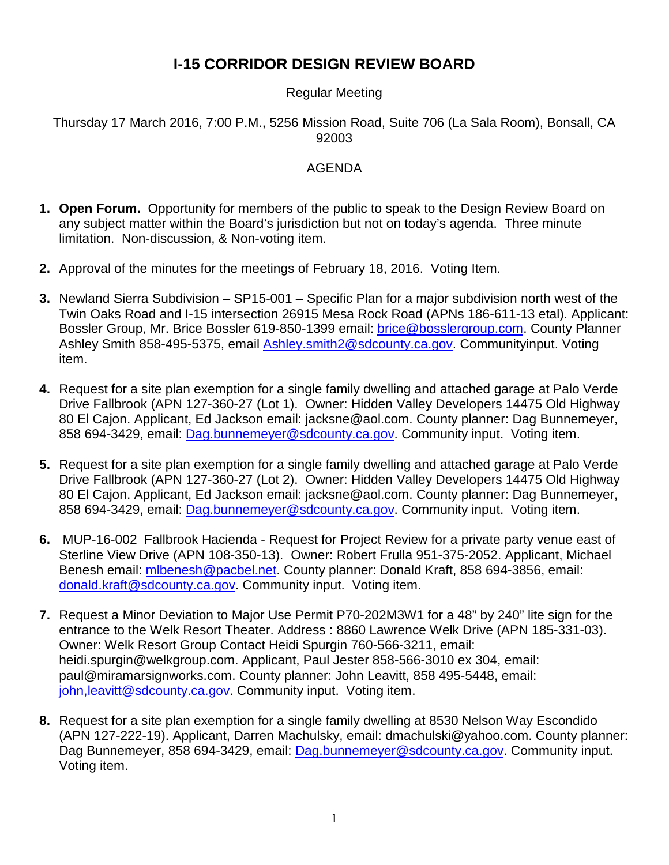# **I-15 CORRIDOR DESIGN REVIEW BOARD**

#### Regular Meeting

#### Thursday 17 March 2016, 7:00 P.M., 5256 Mission Road, Suite 706 (La Sala Room), Bonsall, CA 92003

#### AGENDA

- **1. Open Forum.** Opportunity for members of the public to speak to the Design Review Board on any subject matter within the Board's jurisdiction but not on today's agenda. Three minute limitation. Non-discussion, & Non-voting item.
- **2.** Approval of the minutes for the meetings of February 18, 2016. Voting Item.
- **3.** Newland Sierra Subdivision SP15-001 Specific Plan for a major subdivision north west of the Twin Oaks Road and I-15 intersection 26915 Mesa Rock Road (APNs 186-611-13 etal). Applicant: Bossler Group, Mr. Brice Bossler 619-850-1399 email: [brice@bosslergroup.com.](mailto:brice@bosslergroup.com) County Planner Ashley Smith 858-495-5375, email [Ashley.smith2@sdcounty.ca.gov.](mailto:Ashley.smith2@sdcounty.ca.gov) Communityinput. Voting item.
- **4.** Request for a site plan exemption for a single family dwelling and attached garage at Palo Verde Drive Fallbrook (APN 127-360-27 (Lot 1). Owner: Hidden Valley Developers 14475 Old Highway 80 El Cajon. Applicant, Ed Jackson email: jacksne@aol.com. County planner: Dag Bunnemeyer, 858 694-3429, email: [Dag.bunnemeyer@sdcounty.ca.gov.](mailto:Dag.bunnemeyer@sdcounty.ca.gov) Community input. Voting item.
- **5.** Request for a site plan exemption for a single family dwelling and attached garage at Palo Verde Drive Fallbrook (APN 127-360-27 (Lot 2). Owner: Hidden Valley Developers 14475 Old Highway 80 El Cajon. Applicant, Ed Jackson email: jacksne@aol.com. County planner: Dag Bunnemeyer, 858 694-3429, email: [Dag.bunnemeyer@sdcounty.ca.gov.](mailto:Dag.bunnemeyer@sdcounty.ca.gov) Community input. Voting item.
- **6.** MUP-16-002 Fallbrook Hacienda Request for Project Review for a private party venue east of Sterline View Drive (APN 108-350-13). Owner: Robert Frulla 951-375-2052. Applicant, Michael Benesh email: [mlbenesh@pacbel.net.](mailto:mlbenesh@pacbel.net) County planner: Donald Kraft, 858 694-3856, email: [donald.kraft@sdcounty.ca.gov.](mailto:donald.kraft@sdcounty.ca.gov) Community input. Voting item.
- **7.** Request a Minor Deviation to Major Use Permit P70-202M3W1 for a 48" by 240" lite sign for the entrance to the Welk Resort Theater. Address : 8860 Lawrence Welk Drive (APN 185-331-03). Owner: Welk Resort Group Contact Heidi Spurgin 760-566-3211, email: heidi.spurgin@welkgroup.com. Applicant, Paul Jester 858-566-3010 ex 304, email: paul@miramarsignworks.com. County planner: John Leavitt, 858 495-5448, email: john, leavitt@sdcounty.ca.gov. Community input. Voting item.
- **8.** Request for a site plan exemption for a single family dwelling at 8530 Nelson Way Escondido (APN 127-222-19). Applicant, Darren Machulsky, email: dmachulski@yahoo.com. County planner: Dag Bunnemeyer, 858 694-3429, email: [Dag.bunnemeyer@sdcounty.ca.gov.](mailto:Dag.bunnemeyer@sdcounty.ca.gov) Community input. Voting item.